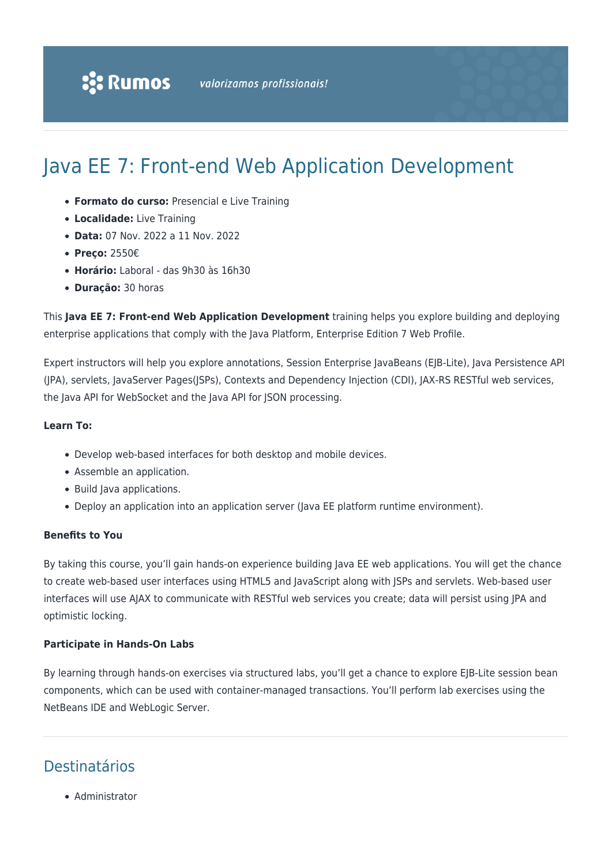# Java EE 7: Front-end Web Application Development

- **Formato do curso:** Presencial e Live Training
- **Localidade:** Live Training
- **Data:** 07 Nov. 2022 a 11 Nov. 2022
- **Preço:** 2550€
- **Horário:** Laboral das 9h30 às 16h30
- **Duração:** 30 horas

This **Java EE 7: Front-end Web Application Development** training helps you explore building and deploying enterprise applications that comply with the Java Platform, Enterprise Edition 7 Web Profile.

Expert instructors will help you explore annotations, Session Enterprise JavaBeans (EJB-Lite), Java Persistence API (JPA), servlets, JavaServer Pages(JSPs), Contexts and Dependency Injection (CDI), JAX-RS RESTful web services, the Java API for WebSocket and the Java API for JSON processing.

### **Learn To:**

- Develop web-based interfaces for both desktop and mobile devices.
- Assemble an application.
- Build Java applications.
- Deploy an application into an application server (Java EE platform runtime environment).

### **Benefits to You**

By taking this course, you'll gain hands-on experience building Java EE web applications. You will get the chance to create web-based user interfaces using HTML5 and JavaScript along with JSPs and servlets. Web-based user interfaces will use AJAX to communicate with RESTful web services you create; data will persist using JPA and optimistic locking.

#### **Participate in Hands-On Labs**

By learning through hands-on exercises via structured labs, you'll get a chance to explore EJB-Lite session bean components, which can be used with container-managed transactions. You'll perform lab exercises using the NetBeans IDE and WebLogic Server.

### Destinatários

• Administrator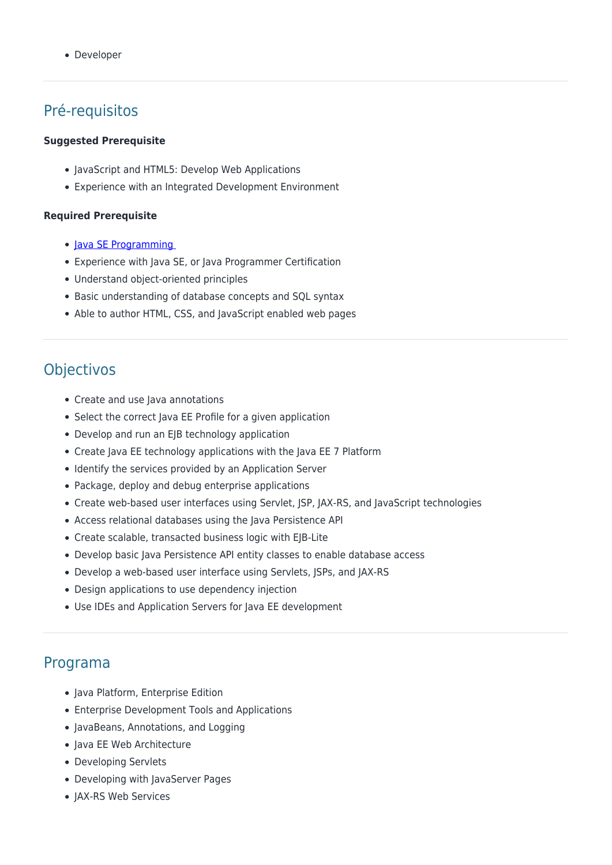• Developer

## Pré-requisitos

#### **Suggested Prerequisite**

- JavaScript and HTML5: Develop Web Applications
- Experience with an Integrated Development Environment

#### **Required Prerequisite**

- Java SE Programming
- Experience with Java SE, or Java Programmer Certification
- Understand object-oriented principles
- Basic understanding of database concepts and SQL syntax
- Able to author HTML, CSS, and JavaScript enabled web pages

### Objectivos

- Create and use Java annotations
- Select the correct Java EE Profile for a given application
- Develop and run an EJB technology application
- Create Java EE technology applications with the Java EE 7 Platform
- Identify the services provided by an Application Server
- Package, deploy and debug enterprise applications
- Create web-based user interfaces using Servlet, JSP, JAX-RS, and JavaScript technologies
- Access relational databases using the Java Persistence API
- Create scalable, transacted business logic with EJB-Lite
- Develop basic Java Persistence API entity classes to enable database access
- Develop a web-based user interface using Servlets, JSPs, and JAX-RS
- Design applications to use dependency injection
- Use IDEs and Application Servers for Java EE development

### Programa

- Java Platform, Enterprise Edition
- Enterprise Development Tools and Applications
- JavaBeans, Annotations, and Logging
- Java EE Web Architecture
- Developing Servlets
- Developing with JavaServer Pages
- JAX-RS Web Services